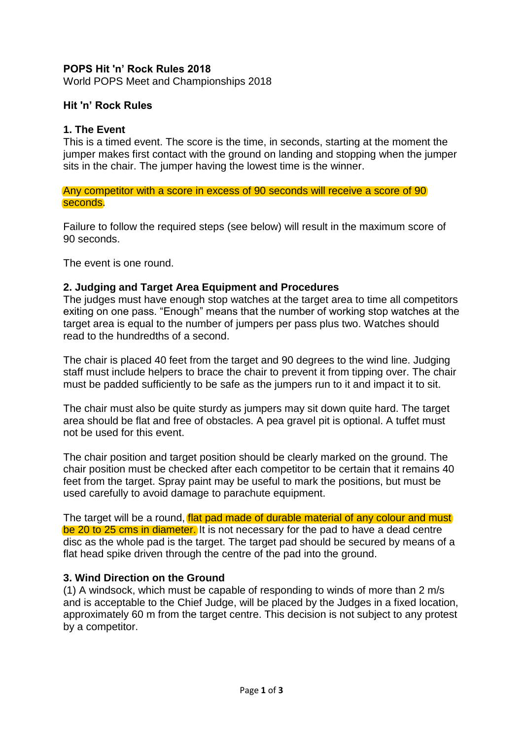# **POPS Hit 'n' Rock Rules 2018**

World POPS Meet and Championships 2018

## **Hit 'n' Rock Rules**

### **1. The Event**

This is a timed event. The score is the time, in seconds, starting at the moment the jumper makes first contact with the ground on landing and stopping when the jumper sits in the chair. The jumper having the lowest time is the winner.

Any competitor with a score in excess of 90 seconds will receive a score of 90 seconds.

Failure to follow the required steps (see below) will result in the maximum score of 90 seconds.

The event is one round.

#### **2. Judging and Target Area Equipment and Procedures**

The judges must have enough stop watches at the target area to time all competitors exiting on one pass. "Enough" means that the number of working stop watches at the target area is equal to the number of jumpers per pass plus two. Watches should read to the hundredths of a second.

The chair is placed 40 feet from the target and 90 degrees to the wind line. Judging staff must include helpers to brace the chair to prevent it from tipping over. The chair must be padded sufficiently to be safe as the jumpers run to it and impact it to sit.

The chair must also be quite sturdy as jumpers may sit down quite hard. The target area should be flat and free of obstacles. A pea gravel pit is optional. A tuffet must not be used for this event.

The chair position and target position should be clearly marked on the ground. The chair position must be checked after each competitor to be certain that it remains 40 feet from the target. Spray paint may be useful to mark the positions, but must be used carefully to avoid damage to parachute equipment.

The target will be a round, flat pad made of durable material of any colour and must be 20 to 25 cms in diameter. It is not necessary for the pad to have a dead centre disc as the whole pad is the target. The target pad should be secured by means of a flat head spike driven through the centre of the pad into the ground.

## **3. Wind Direction on the Ground**

(1) A windsock, which must be capable of responding to winds of more than 2 m/s and is acceptable to the Chief Judge, will be placed by the Judges in a fixed location, approximately 60 m from the target centre. This decision is not subject to any protest by a competitor.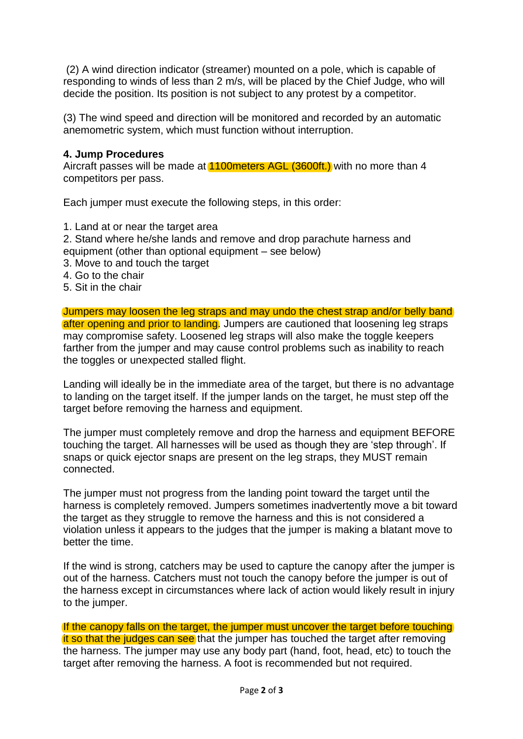(2) A wind direction indicator (streamer) mounted on a pole, which is capable of responding to winds of less than 2 m/s, will be placed by the Chief Judge, who will decide the position. Its position is not subject to any protest by a competitor.

(3) The wind speed and direction will be monitored and recorded by an automatic anemometric system, which must function without interruption.

## **4. Jump Procedures**

Aircraft passes will be made at 1100 meters AGL (3600ft.) with no more than 4 competitors per pass.

Each jumper must execute the following steps, in this order:

- 1. Land at or near the target area
- 2. Stand where he/she lands and remove and drop parachute harness and equipment (other than optional equipment – see below)
- 3. Move to and touch the target
- 4. Go to the chair
- 5. Sit in the chair

Jumpers may loosen the leg straps and may undo the chest strap and/or belly band after opening and prior to landing. Jumpers are cautioned that loosening leg straps may compromise safety. Loosened leg straps will also make the toggle keepers farther from the jumper and may cause control problems such as inability to reach the toggles or unexpected stalled flight.

Landing will ideally be in the immediate area of the target, but there is no advantage to landing on the target itself. If the jumper lands on the target, he must step off the target before removing the harness and equipment.

The jumper must completely remove and drop the harness and equipment BEFORE touching the target. All harnesses will be used as though they are 'step through'. If snaps or quick ejector snaps are present on the leg straps, they MUST remain connected.

The jumper must not progress from the landing point toward the target until the harness is completely removed. Jumpers sometimes inadvertently move a bit toward the target as they struggle to remove the harness and this is not considered a violation unless it appears to the judges that the jumper is making a blatant move to better the time.

If the wind is strong, catchers may be used to capture the canopy after the jumper is out of the harness. Catchers must not touch the canopy before the jumper is out of the harness except in circumstances where lack of action would likely result in injury to the jumper.

If the canopy falls on the target, the jumper must uncover the target before touching It so that the judges can see that the jumper has touched the target after removing the harness. The jumper may use any body part (hand, foot, head, etc) to touch the target after removing the harness. A foot is recommended but not required.